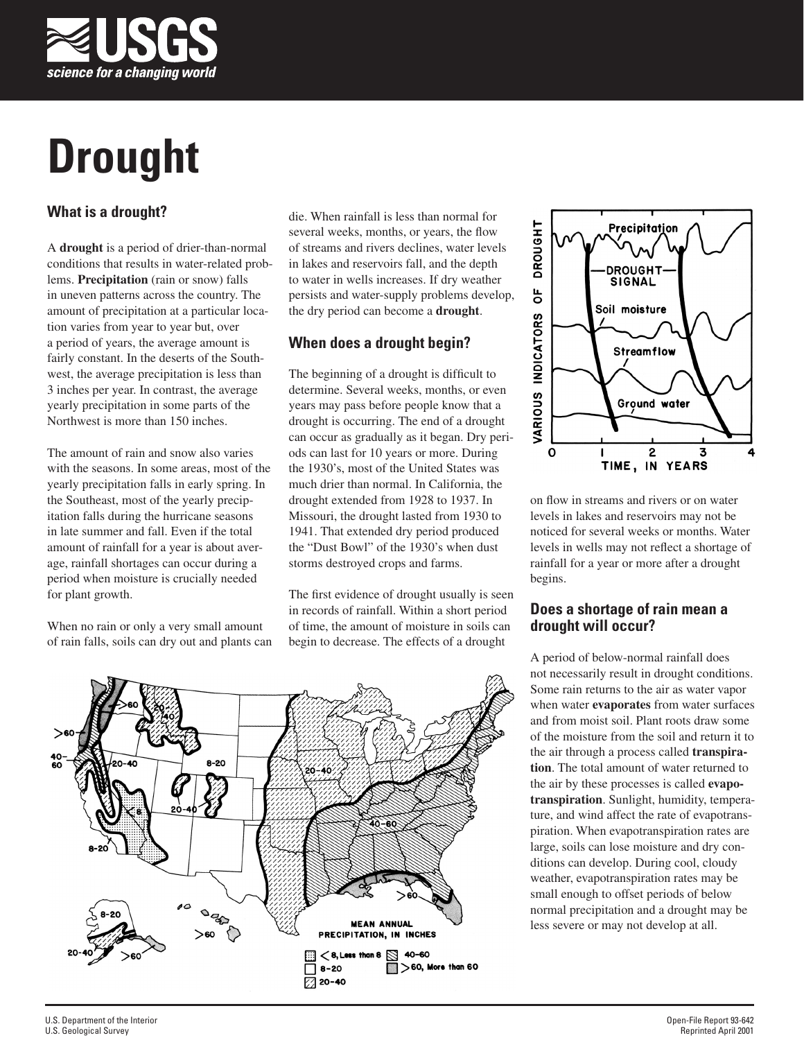

# **Drought**

## **What is a drought?**

A **drought** is a period of drier-than-normal conditions that results in water-related problems. **Precipitation** (rain or snow) falls in uneven patterns across the country. The amount of precipitation at a particular location varies from year to year but, over a period of years, the average amount is fairly constant. In the deserts of the Southwest, the average precipitation is less than 3 inches per year. In contrast, the average yearly precipitation in some parts of the Northwest is more than 150 inches.

The amount of rain and snow also varies with the seasons. In some areas, most of the yearly precipitation falls in early spring. In the Southeast, most of the yearly precipitation falls during the hurricane seasons in late summer and fall. Even if the total amount of rainfall for a year is about average, rainfall shortages can occur during a period when moisture is crucially needed for plant growth.

When no rain or only a very small amount of rain falls, soils can dry out and plants can die. When rainfall is less than normal for several weeks, months, or years, the flow of streams and rivers declines, water levels in lakes and reservoirs fall, and the depth to water in wells increases. If dry weather persists and water-supply problems develop, the dry period can become a **drought**.

#### **When does a drought begin?**

The beginning of a drought is difficult to determine. Several weeks, months, or even years may pass before people know that a drought is occurring. The end of a drought can occur as gradually as it began. Dry periods can last for 10 years or more. During the 1930's, most of the United States was much drier than normal. In California, the drought extended from 1928 to 1937. In Missouri, the drought lasted from 1930 to 1941. That extended dry period produced the "Dust Bowl" of the 1930's when dust storms destroyed crops and farms.

The first evidence of drought usually is seen in records of rainfall. Within a short period of time, the amount of moisture in soils can begin to decrease. The effects of a drought





on flow in streams and rivers or on water levels in lakes and reservoirs may not be noticed for several weeks or months. Water levels in wells may not reflect a shortage of rainfall for a year or more after a drought begins.

#### **Does a shortage of rain mean a drought will occur?**

A period of below-normal rainfall does not necessarily result in drought conditions. Some rain returns to the air as water vapor when water **evaporates** from water surfaces and from moist soil. Plant roots draw some of the moisture from the soil and return it to the air through a process called **transpiration**. The total amount of water returned to the air by these processes is called **evapotranspiration**. Sunlight, humidity, temperature, and wind affect the rate of evapotranspiration. When evapotranspiration rates are large, soils can lose moisture and dry conditions can develop. During cool, cloudy weather, evapotranspiration rates may be small enough to offset periods of below normal precipitation and a drought may be less severe or may not develop at all.